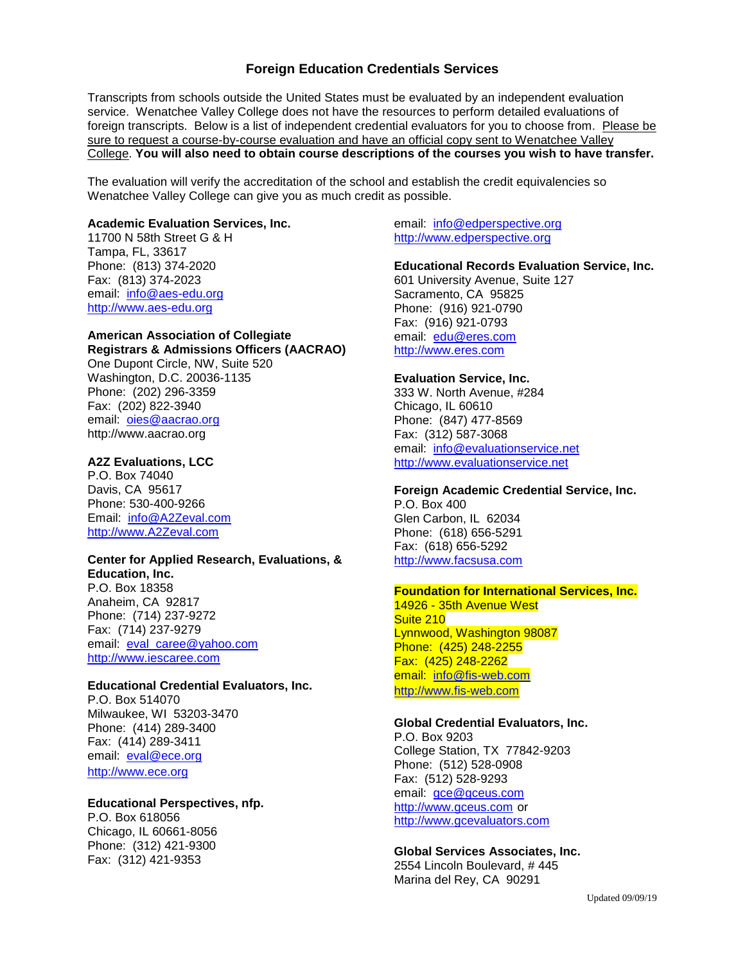# **Foreign Education Credentials Services**

Transcripts from schools outside the United States must be evaluated by an independent evaluation service. Wenatchee Valley College does not have the resources to perform detailed evaluations of foreign transcripts. Below is a list of independent credential evaluators for you to choose from. Please be sure to request a course-by-course evaluation and have an official copy sent to Wenatchee Valley College. **You will also need to obtain course descriptions of the courses you wish to have transfer.**

The evaluation will verify the accreditation of the school and establish the credit equivalencies so Wenatchee Valley College can give you as much credit as possible.

## **Academic Evaluation Services, Inc.**

11700 N 58th Street G & H Tampa, FL, 33617 Phone: (813) 374-2020 Fax: (813) 374-2023 email: [info@aes-edu.org](mailto:info@aes-edu.org) [http://www.aes-edu.org](http://www.aes-edu.org/)

## **American Association of Collegiate Registrars & Admissions Officers (AACRAO)** One Dupont Circle, NW, Suite 520 Washington, D.C. 20036-1135 Phone: (202) 296-3359 Fax: (202) 822-3940 email: [oies@aacrao.org](mailto:oies@aacrao.org)

http://www.aacrao.org

# **A2Z Evaluations, LCC**

P.O. Box 74040 Davis, CA 95617 Phone: 530-400-9266 Email: [info@A2Zeval.com](mailto:info@A2Zeval.com) [http://www.A2Zeval.com](http://www.a2zeval.com/)

## **Center for Applied Research, Evaluations, &**

**Education, Inc.** P.O. Box 18358 Anaheim, CA 92817 Phone: (714) 237-9272 Fax: (714) 237-9279 email: [eval\\_caree@yahoo.com](mailto:eval_caree@yahoo.com) [http://www.iescaree.com](http://www.iescaree.com/)

## **Educational Credential Evaluators, Inc.**

P.O. Box 514070 Milwaukee, WI 53203-3470 Phone: (414) 289-3400 Fax: (414) 289-3411 email: [eval@ece.org](mailto:eval@ece.org) [http://www.ece.org](http://www.ece.org/)

# **Educational Perspectives, nfp.**

P.O. Box 618056 Chicago, IL 60661-8056 Phone: (312) 421-9300 Fax: (312) 421-9353

email: [info@edperspective.org](mailto:info@edperspective.org) [http://www.edperspective.org](http://www.edperspective.org/)

#### **Educational Records Evaluation Service, Inc.**

601 University Avenue, Suite 127 Sacramento, CA 95825 Phone: (916) 921-0790 Fax: (916) 921-0793 email: [edu@eres.com](mailto:edu@eres.com) [http://www.eres.com](http://www.eres.com/)

#### **Evaluation Service, Inc.**

333 W. North Avenue, #284 Chicago, IL 60610 Phone: (847) 477-8569 Fax: (312) 587-3068 email: [info@evaluationservice.net](mailto:info@evaluationservice.net) [http://www.evaluationservice.net](http://www.evaluationservice.net/)

# **Foreign Academic Credential Service, Inc.**

P.O. Box 400 Glen Carbon, IL 62034 Phone: (618) 656-5291 Fax: (618) 656-5292 [http://www.facsusa.com](http://www.facsusa.com/)

#### **Foundation for International Services, Inc.**

14926 - 35th Avenue West Suite 210 Lynnwood, Washington 98087 Phone: (425) 248-2255 Fax: (425) 248-2262 email: [info@fis-web.com](mailto:info@fis-web.com) [http://www.fis-web.com](http://www.fis-web.com/)

#### **Global Credential Evaluators, Inc.**

P.O. Box 9203 College Station, TX 77842-9203 Phone: (512) 528-0908 Fax: (512) 528-9293 email: [gce@gceus.com](mailto:gce@gceus.com) [http://www.gceus.com](http://www.gceus.com/) or [http://www.gcevaluators.com](http://www.gcevaluators.com/)

## **Global Services Associates, Inc.**

2554 Lincoln Boulevard, # 445 Marina del Rey, CA 90291